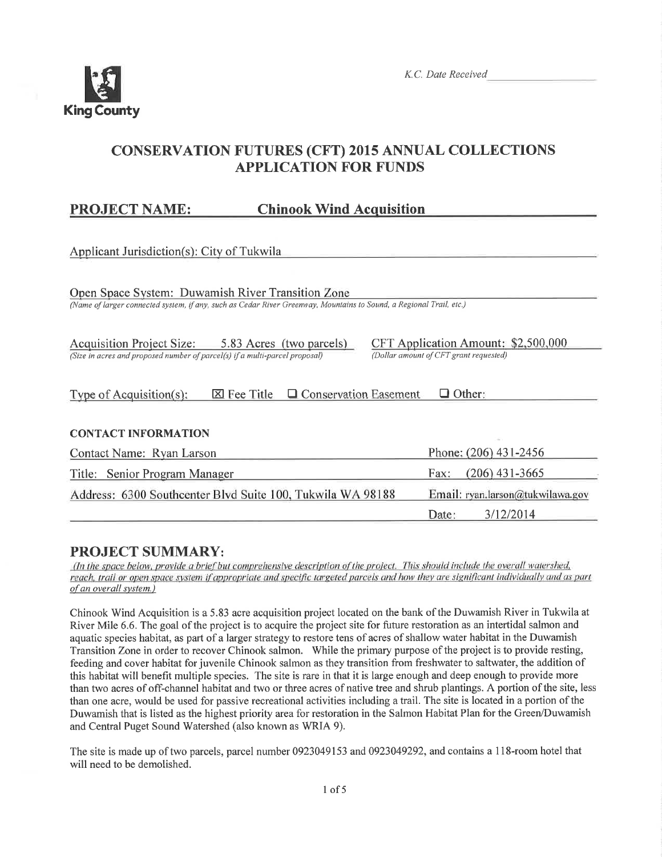

Date:

 $3/12/2014$ 

# **CONSERVATION FUTURES (CFT) 2015 ANNUAL COLLECTIONS APPLICATION FOR FUNDS**

#### **PROJECT NAME: Chinook Wind Acquisition**

| Applicant Jurisdiction(s): City of Tukwila                                                                                                                                                                         |                                  |  |  |  |
|--------------------------------------------------------------------------------------------------------------------------------------------------------------------------------------------------------------------|----------------------------------|--|--|--|
| Open Space System: Duwamish River Transition Zone<br>(Name of larger connected system, if any, such as Cedar River Greenway, Mountains to Sound, a Regional Trail, etc.)                                           |                                  |  |  |  |
| CFT Application Amount: \$2,500,000<br>Acquisition Project Size: 5.83 Acres (two parcels)<br>(Dollar amount of CFT grant requested)<br>(Size in acres and proposed number of parcel(s) if a multi-parcel proposal) |                                  |  |  |  |
| $\Box$ Conservation Easement<br>$\Box$ Other:<br>Type of Acquisition(s):<br>$\boxtimes$ Fee Title                                                                                                                  |                                  |  |  |  |
| <b>CONTACT INFORMATION</b>                                                                                                                                                                                         |                                  |  |  |  |
| Contact Name: Ryan Larson                                                                                                                                                                                          | Phone: (206) 431-2456            |  |  |  |
| Title: Senior Program Manager                                                                                                                                                                                      | $(206)$ 431-3665<br>Fax:         |  |  |  |
| Address: 6300 Southcenter Blvd Suite 100, Tukwila WA 98188                                                                                                                                                         | Email: ryan.larson@tukwilawa.gov |  |  |  |

# **PROJECT SUMMARY:**

(In the space below, provide a brief but comprehensive description of the project. This should include the overall watershed, reach, trail or open space system if appropriate and specific targeted parcels and how they are significant individually and as part of an overall system.)

Chinook Wind Acquisition is a 5.83 acre acquisition project located on the bank of the Duwamish River in Tukwila at River Mile 6.6. The goal of the project is to acquire the project site for future restoration as an intertidal salmon and aquatic species habitat, as part of a larger strategy to restore tens of acres of shallow water habitat in the Duwamish Transition Zone in order to recover Chinook salmon. While the primary purpose of the project is to provide resting, feeding and cover habitat for juvenile Chinook salmon as they transition from freshwater to saltwater, the addition of this habitat will benefit multiple species. The site is rare in that it is large enough and deep enough to provide more than two acres of off-channel habitat and two or three acres of native tree and shrub plantings. A portion of the site, less than one acre, would be used for passive recreational activities including a trail. The site is located in a portion of the Duwamish that is listed as the highest priority area for restoration in the Salmon Habitat Plan for the Green/Duwamish and Central Puget Sound Watershed (also known as WRIA 9).

The site is made up of two parcels, parcel number 0923049153 and 0923049292, and contains a 118-room hotel that will need to be demolished.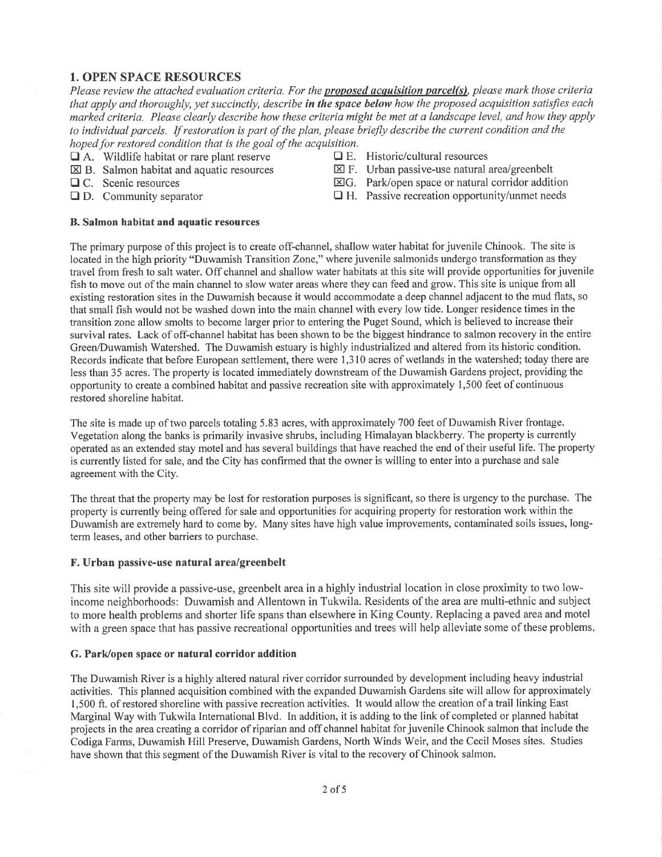### 1. OPEN SPACE RESOURCES

Please review the attached evaluation criteria. For the proposed acquisition parcel(s), please mark those criteria that apply and thoroughly, yet succinctly, describe in the space below how the proposed acquisition satisfies each marked criteria. Please clearly describe how these criteria might be met at a landscape level, and how they apply to individual parcels. If restoration is part of the plan, please briefly describe the current condition and the hoped for restored condition that is the goal of the acquisition.<br> $\Box$  A. Wildlife habitat or rare plant reserve  $\Box$  E. Historic/cultural resources

- $\Box$  A. Wildlife habitat or rare plant reserve  $\boxtimes$  B. Salmon habitat and aquatic resources
- 
- 
- 
- 
- $\boxtimes$  B. Salmon habitat and aquatic resources  $\boxtimes$  F. Urban passive-use natural area/greenbelt  $\Box$  C. Scenic resources  $\boxtimes$  G. Park/open space or natural corridor addit
- $\Box$  C. Scenic resources  $\Box$  C. Park/open space or natural corridor addition  $\Box$  D. Community separator  $\Box$  H. Passive recreation opportunity/unmet needs
	- $\Box$  H. Passive recreation opportunity/unmet needs

#### B. Salmon habitat and aquatic resources

The primary purpose of this project is to create off-channel, shallow water habitat for juvenile Chinook. The site is located in the high priority "Duwamish Transition Zone," where juvenile salmonids undergo transformation as they travel from fresh to salt water. Off channel and shallow water habitats at this site will provide opportunities for juvenile fish to move out of the main channel to slow water areas where they can feed and grow. This site is unique from all existing restoration sites in the Duwamish because it would accommodate a deep channel adjacent to the mud flats, so that small fish would not be washed down into the main channel with every low tide. Longer residence times in the transition zone allow smolts to become larger prior to entering the Puget Sound, which is believed to increase their survival rates. Lack of off-channel habitat has been shown to be the biggest hindrance to salmon recovery in the entire Green/Duwamish Watershed. The Duwamish estuary is highly industrialized and altered from its historic condition. Records indicate that before European settlement, there were I ,3 10 acres of wetlands in the watershed; today there are less than 35 acres. The property is located immediately downstream of the Duwamish Gardens project, providing the opportunity to create a combined habitat and passive recreation site with approximately 1,500 feet of continuous restored shoreline habitat.

The site is made up of two parcels totaling 5.83 acres, with approximately 700 feet of Duwamish River frontage. Vegetation along the banks is primarily invasive shrubs, including Himalayan blackberry. The property is currently operated as an extended stay motel and has several buildings that have reached the end oftheir useful life. The property is currently listed for sale, and the City has confirmed that the owner is willing to enter into a purchase and sale agreement with the City.

The threat that the property may be lost for restoration purposes is significant, so there is urgency to the purchase. The property is currently being offered for sale and opportunities for acquiring propefy for restoration work within the Duwamish are extremely hard to come by. Many sites have high value improvements, contaminated soils issues, longterm leases, and other barriers to purchase.

#### F. Urban passive-use natural area/greenbelt

This site will provide a passive-use, greenbelt area in a highly industrial location in close proximity to two lowincome neighborhoods: Duwamish and Allentown in Tukwila. Residents of the area are multi-ethnic and subject to more health problems and shorter life spans than elsewhere in King County. Replacing a paved area and motel with a green space that has passive recreational opportunities and trees will help alleviate some of these problems.

#### G. Park/open space or natural corridor addition

The Duwamish River is a highly altered natural river corridor surrounded by development including heavy industrial activities. This planned acquisition combined with the expanded Duwamish Gardens site will allow for approximately <sup>I</sup>,500 ft. of restored shoreline with passive recreation activities. It would allow the creation of a trail linking East Marginal Way with Tukwila International Blvd. In addition, it is adding to the link of completed or planned habitat projects in the area creating a corridor of riparian and off channel habitat for juvenile Chinook salmon that include the Codiga Farms, Duwamish Hill Preserve, Duwamish Gardens, North V/inds Weir, and the Cecil Moses sites. Studies have shown that this segment of the Duwamish River is vital to the recovery of Chinook salmon.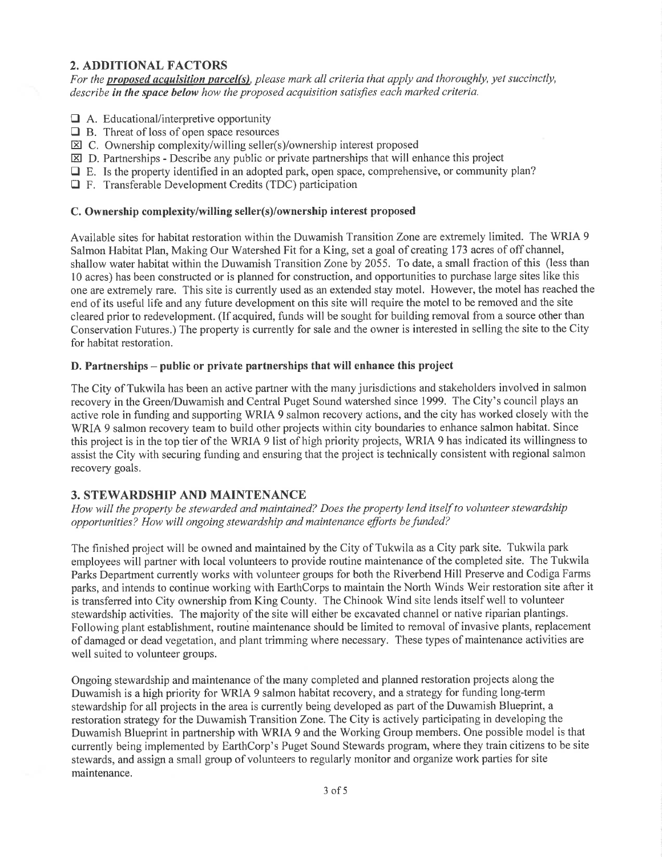## 2. ADDITIONAL FACTORS

For the proposed acquisition parcel(s), please mark all criteria that apply and thoroughly, yet succinctly, describe in the space below how the proposed acquisition satisfies each marked criteria.

- $\Box$  A. Educational/interpretive opportunity
- $\Box$  B. Threat of loss of open space resources
- $\boxtimes$  C. Ownership complexity/willing seller(s)/ownership interest proposed
- $\boxtimes$  D. Partnerships Describe any public or private partnerships that will enhance this project
- $\Box$  E. Is the property identified in an adopted park, open space, comprehensive, or community plan?
- E F. Transferable Development Credits (TDC) participation

### C. Ownership complexity/willing seller(s)/ownership interest proposed

Available sites for habitat restoration within the Duwamish Transition Zone are extremely limited. The WRIA 9 Salmon Habitat Plan, Making Our Watershed Fit for a King, set a goal of creating 173 acres of off channel, shallow water habitat within the Duwamish Transition Zone by 2055. To date, a small fraction of this (less than l0 acres) has been constructed or is planned for construction, and opportunities to purchase large sites like this one are extremely rare. This site is currently used as an extended stay motel. However, the motel has reached the end of its useful life and any future development on this site will require the motel to be removed and the site cleared prior to redevelopment. (If acquired, funds will be sought for building removal from a source other than Conservation Futures.) The property is currently for sale and the owner is interested in selling the site to the City for habitat restoration.

### D. Partnerships - public or private partnerships that will enhance this project

The City of Tukwila has been an active partner with the many jurisdictions and stakeholders involved in salmon recovery in the Green/Duwamish and Central Puget Sound watershed since 1999. The City's council plays an active role in funding and supporting WRIA 9 salmon recovery actions, and the city has worked closely with the WRIA 9 salmon recovery team to build other projects within city boundaries to enhance salmon habitat. Since this project is in the top tier of the WRIA 9 list of high priority projects, WRIA 9 has indicated its willingness to assist the City with securing funding and ensuring that the project is technically consistent with regional salmon recovery goals.

### 3. STEWARDSHIP AND MAINTENANCE

How will the property be stewarded and maintained? Does the property lend itself to volunteer stewardship opportunities? How will ongoing stewardship and maintenance efforts be funded?

The finished project will be owned and maintained by the City of Tukwila as a City park site. Tukwila park employees will partner with local volunteers to provide routine maintenance of the completed site. The Tukwila Parks Department currently works with volunteer groups for both the Riverbend Hill Preserve and Codiga Farms parks, and intends to continue working with EarthCorps to maintain the North Winds Weir restoration site after it is transferred into City ownership from King County. The Chinook Wind site lends itself well to volunteer stewardship activities. The majority of the site will either be excavated channel or native riparian plantings. Following plant establishment, routine maintenance should be limited to removal of invasive plants, replacement of damaged or dead vegetation, and plant trimming where necessary. These types of maintenance activities are well suited to volunteer groups.

Ongoing stewardship and maintenance of the many completed and planned restoration projects along the Duwamish is a high priority for WRIA 9 salmon habitat recovery, and a strategy for funding long-term stewardship for all projects in the area is currently being developed as part of the Duwamish Blueprint, a restoration strategy for the Duwamish Transition Zone. The City is actively participating in developing the Duwamish Blueprint in partnership with WRIA 9 and the Working Group members. One possible model is that currently being implemented by EarthCorp's Puget Sound Stewards program, where they train citizens to be site stewards, and assign a small group of volunteers to regularly monitor and organize work parties for site maintenance.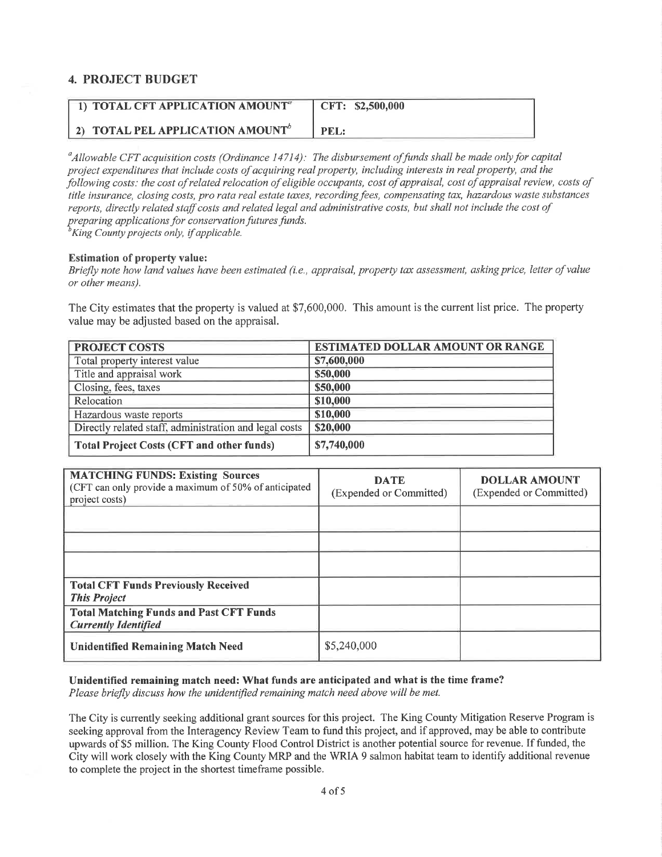### 4. PROJECT BUDGET

| 1) TOTAL CFT APPLICATION AMOUNT <sup>®</sup> | CFT: \$2,500,000 |
|----------------------------------------------|------------------|
| 2) TOTAL PEL APPLICATION AMOUNT <sup>b</sup> | PEL:             |

 $^a$ Allowable CFT acquisition costs (Ordinance 14714): The disbursement of funds shall be made only for capital project expenditures that include costs ofacquiring real property, including interests in real property, and the þllowing costs: the cost of related relocation of eligible occupqnts, cost of appraisal, cost of appraisal review, costs of title insurance, closing costs, pro rata real estate taxes, recording fees, compensating tax, hazardous waste substances reports, directly related staffcosts and related legal and administrative costs, but shall not include the cost of preparing applications for conservation futures funds.  $\overline{b}$ King County projects only, if applicable.

Estimation of property value:

Briefly note how land values have been estimated (i.e., appraisal, property tax assessment, asking price, letter of value or other means).

The City estimates that the property is valued at \$7,600,000. This amount is the current list price. The property value may be adjusted based on the appraisal.

| <b>PROJECT COSTS</b>                                   | <b>ESTIMATED DOLLAR AMOUNT OR RANGE</b> |
|--------------------------------------------------------|-----------------------------------------|
| Total property interest value                          | \$7,600,000                             |
| Title and appraisal work                               | \$50,000                                |
| Closing, fees, taxes                                   | \$50,000                                |
| Relocation                                             | \$10,000                                |
| Hazardous waste reports                                | \$10,000                                |
| Directly related staff, administration and legal costs | \$20,000                                |
| <b>Total Project Costs (CFT and other funds)</b>       | \$7,740,000                             |

| <b>MATCHING FUNDS: Existing Sources</b><br>(CFT can only provide a maximum of 50% of anticipated<br>project costs) | <b>DATE</b><br>(Expended or Committed) | <b>DOLLAR AMOUNT</b><br>(Expended or Committed) |
|--------------------------------------------------------------------------------------------------------------------|----------------------------------------|-------------------------------------------------|
|                                                                                                                    |                                        |                                                 |
|                                                                                                                    |                                        |                                                 |
| <b>Total CFT Funds Previously Received</b>                                                                         |                                        |                                                 |
| <b>This Project</b>                                                                                                |                                        |                                                 |
| <b>Total Matching Funds and Past CFT Funds</b><br><b>Currently Identified</b>                                      |                                        |                                                 |
| <b>Unidentified Remaining Match Need</b>                                                                           | \$5,240,000                            |                                                 |

Unidentified remaining match need: What funds are anticipated and what is the time frame?

Please briefly discuss how the unidentified remaining match need above will be met.

The City is currently seeking additional grant sources for this project. The King County Mitigation Reserve Program is seeking approval from the Interagency Review Team to fund this project, and if approved, may be able to contribute upwards of \$5 million. The King County Flood Control District is another potential source for revenue. If funded, the City will work closely with the King County MRP and the WRIA 9 salmon habitat team to identify additional revenue to complete the project in the shortest timeframe possible.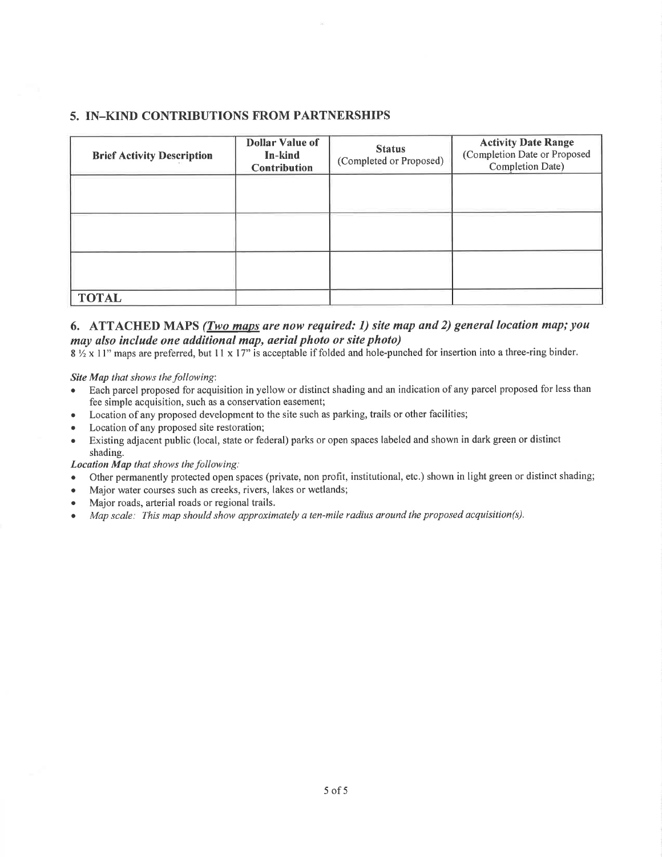### 5. IN-KIND CONTRIBUTIONS FROM PARTNERSHIPS

| <b>Brief Activity Description</b> | <b>Dollar Value of</b><br>In-kind<br><b>Contribution</b> | <b>Status</b><br>(Completed or Proposed) | <b>Activity Date Range</b><br>(Completion Date or Proposed<br>Completion Date) |
|-----------------------------------|----------------------------------------------------------|------------------------------------------|--------------------------------------------------------------------------------|
|                                   |                                                          |                                          |                                                                                |
|                                   |                                                          |                                          |                                                                                |
|                                   |                                                          |                                          |                                                                                |
| <b>TOTAL</b>                      |                                                          |                                          |                                                                                |

### 6. ATTACHED MAPS (Two maps are now required: 1) site map and 2) general location map; you may also include one additional map, aerial photo or site photo)

 $8\frac{1}{2}$  x 11" maps are preferred, but 11 x 17" is acceptable if folded and hole-punched for insertion into a three-ring binder.

Site Map that shows the following:

- Each parcel proposed for acquisition in yellow or distinct shading and an indication of any parcel proposed for less than fee simple acquisition, such as a conservation easement;
- Location of any proposed development to the site such as parking, trails or other facilities;
- Location of any proposed site restoration;
- Existing adjacent public (local, state or federal) parks or open spaces labeled and shown in dark green or distinct shading.

Location Map that shows the following:

- Other permanently protected open spaces (private, non profit, institutional, etc.) shown in light green or distinct shading;
- . Major water courses such as creeks, rivers, lakes or wetlands;
- . Major roads, arterial roads or regional trails.
- Map scale: This map should show approximately a ten-mile radius around the proposed acquisition(s).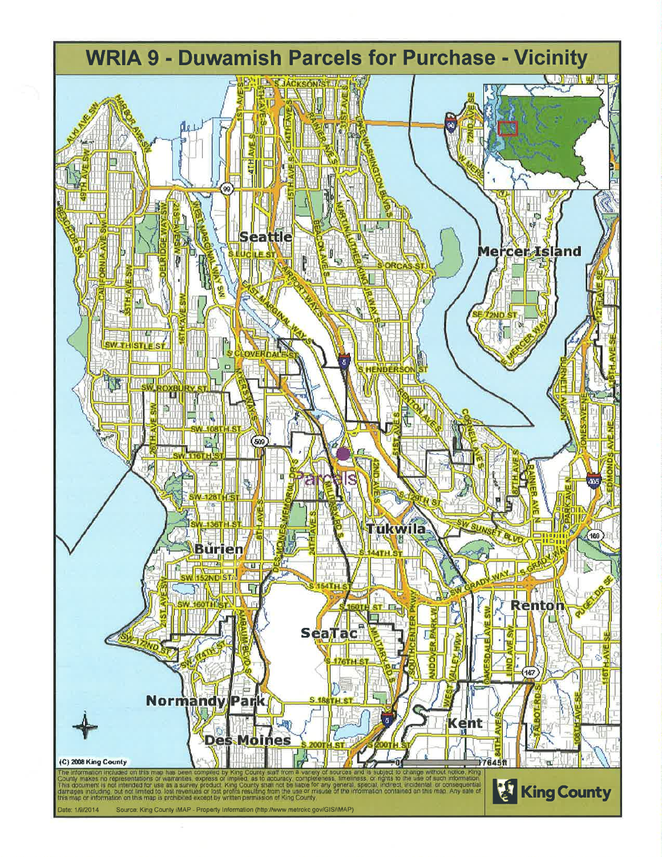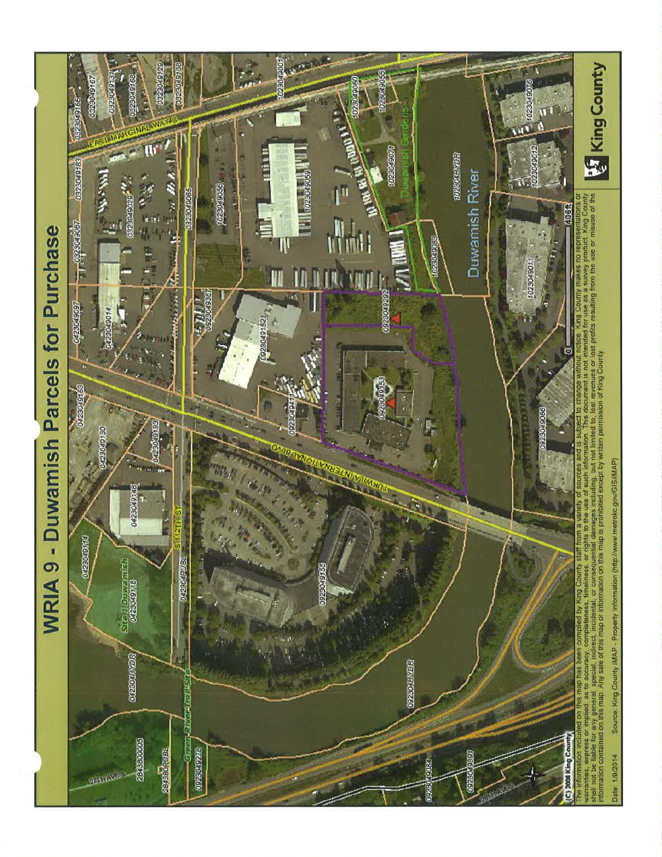